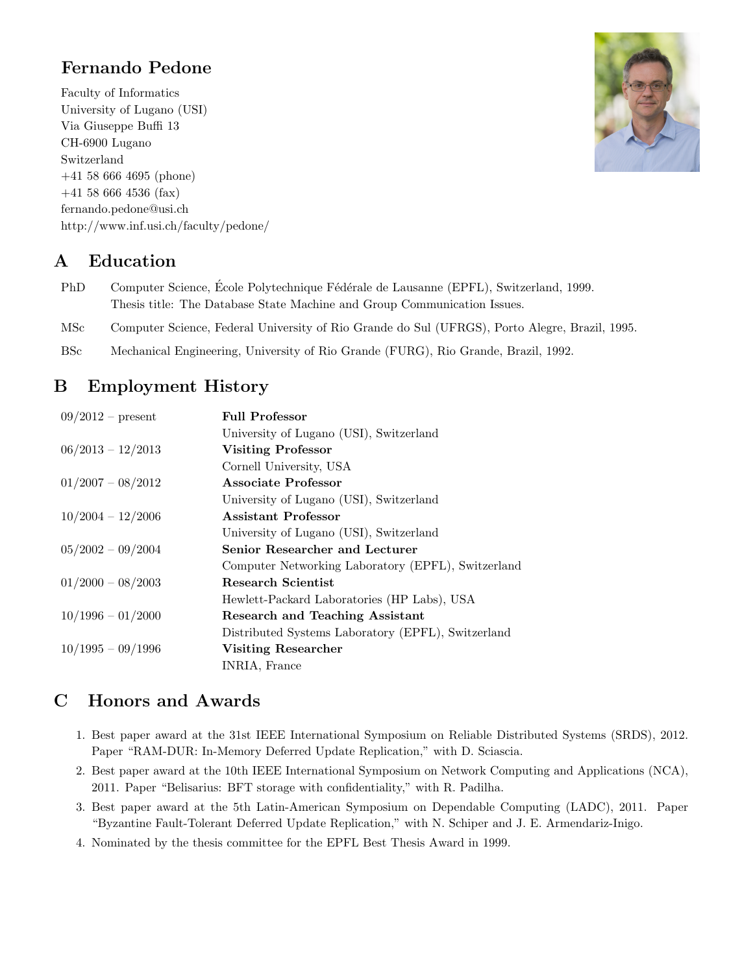## Fernando Pedone

Faculty of Informatics University of Lugano (USI) Via Giuseppe Buffi 13 CH-6900 Lugano Switzerland +41 58 666 4695 (phone) +41 58 666 4536 (fax) fernando.pedone@usi.ch http://www.inf.usi.ch/faculty/pedone/



### A Education

- PhD Computer Science, École Polytechnique Fédérale de Lausanne (EPFL), Switzerland, 1999. Thesis title: The Database State Machine and Group Communication Issues.
- MSc Computer Science, Federal University of Rio Grande do Sul (UFRGS), Porto Alegre, Brazil, 1995.
- BSc Mechanical Engineering, University of Rio Grande (FURG), Rio Grande, Brazil, 1992.

## B Employment History

| $09/2012$ – present | <b>Full Professor</b>                              |
|---------------------|----------------------------------------------------|
|                     | University of Lugano (USI), Switzerland            |
| $06/2013 - 12/2013$ | <b>Visiting Professor</b>                          |
|                     | Cornell University, USA                            |
| $01/2007 - 08/2012$ | Associate Professor                                |
|                     | University of Lugano (USI), Switzerland            |
| $10/2004 - 12/2006$ | Assistant Professor                                |
|                     | University of Lugano (USI), Switzerland            |
| $05/2002 - 09/2004$ | Senior Researcher and Lecturer                     |
|                     | Computer Networking Laboratory (EPFL), Switzerland |
| $01/2000 - 08/2003$ | Research Scientist                                 |
|                     | Hewlett-Packard Laboratories (HP Labs), USA        |
| $10/1996 - 01/2000$ | <b>Research and Teaching Assistant</b>             |
|                     | Distributed Systems Laboratory (EPFL), Switzerland |
| $10/1995 - 09/1996$ | Visiting Researcher                                |
|                     | INRIA, France                                      |

## C Honors and Awards

- 1. Best paper award at the 31st IEEE International Symposium on Reliable Distributed Systems (SRDS), 2012. Paper "RAM-DUR: In-Memory Deferred Update Replication," with D. Sciascia.
- 2. Best paper award at the 10th IEEE International Symposium on Network Computing and Applications (NCA), 2011. Paper "Belisarius: BFT storage with confidentiality," with R. Padilha.
- 3. Best paper award at the 5th Latin-American Symposium on Dependable Computing (LADC), 2011. Paper "Byzantine Fault-Tolerant Deferred Update Replication," with N. Schiper and J. E. Armendariz-Inigo.
- 4. Nominated by the thesis committee for the EPFL Best Thesis Award in 1999.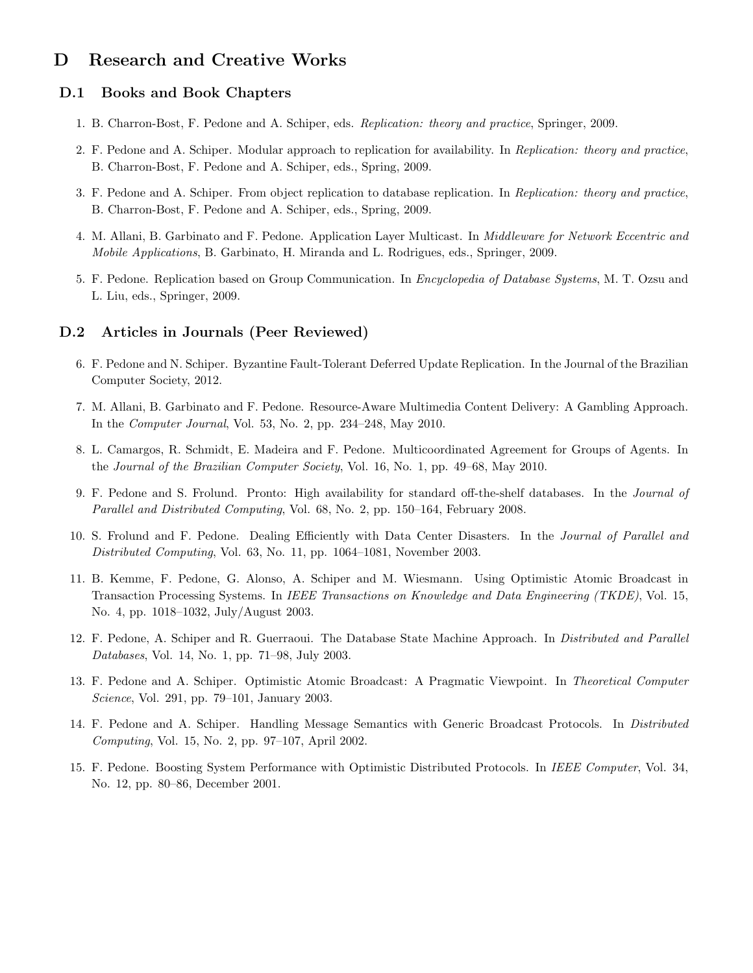### D Research and Creative Works

#### D.1 Books and Book Chapters

- 1. B. Charron-Bost, F. Pedone and A. Schiper, eds. Replication: theory and practice, Springer, 2009.
- 2. F. Pedone and A. Schiper. Modular approach to replication for availability. In Replication: theory and practice, B. Charron-Bost, F. Pedone and A. Schiper, eds., Spring, 2009.
- 3. F. Pedone and A. Schiper. From object replication to database replication. In Replication: theory and practice, B. Charron-Bost, F. Pedone and A. Schiper, eds., Spring, 2009.
- 4. M. Allani, B. Garbinato and F. Pedone. Application Layer Multicast. In Middleware for Network Eccentric and Mobile Applications, B. Garbinato, H. Miranda and L. Rodrigues, eds., Springer, 2009.
- 5. F. Pedone. Replication based on Group Communication. In Encyclopedia of Database Systems, M. T. Ozsu and L. Liu, eds., Springer, 2009.

#### D.2 Articles in Journals (Peer Reviewed)

- 6. F. Pedone and N. Schiper. Byzantine Fault-Tolerant Deferred Update Replication. In the Journal of the Brazilian Computer Society, 2012.
- 7. M. Allani, B. Garbinato and F. Pedone. Resource-Aware Multimedia Content Delivery: A Gambling Approach. In the Computer Journal, Vol. 53, No. 2, pp. 234–248, May 2010.
- 8. L. Camargos, R. Schmidt, E. Madeira and F. Pedone. Multicoordinated Agreement for Groups of Agents. In the Journal of the Brazilian Computer Society, Vol. 16, No. 1, pp. 49–68, May 2010.
- 9. F. Pedone and S. Frolund. Pronto: High availability for standard off-the-shelf databases. In the Journal of Parallel and Distributed Computing, Vol. 68, No. 2, pp. 150–164, February 2008.
- 10. S. Frolund and F. Pedone. Dealing Efficiently with Data Center Disasters. In the Journal of Parallel and Distributed Computing, Vol. 63, No. 11, pp. 1064–1081, November 2003.
- 11. B. Kemme, F. Pedone, G. Alonso, A. Schiper and M. Wiesmann. Using Optimistic Atomic Broadcast in Transaction Processing Systems. In IEEE Transactions on Knowledge and Data Engineering (TKDE), Vol. 15, No. 4, pp. 1018–1032, July/August 2003.
- 12. F. Pedone, A. Schiper and R. Guerraoui. The Database State Machine Approach. In *Distributed and Parallel* Databases, Vol. 14, No. 1, pp. 71–98, July 2003.
- 13. F. Pedone and A. Schiper. Optimistic Atomic Broadcast: A Pragmatic Viewpoint. In Theoretical Computer Science, Vol. 291, pp. 79–101, January 2003.
- 14. F. Pedone and A. Schiper. Handling Message Semantics with Generic Broadcast Protocols. In Distributed Computing, Vol. 15, No. 2, pp. 97–107, April 2002.
- 15. F. Pedone. Boosting System Performance with Optimistic Distributed Protocols. In IEEE Computer, Vol. 34, No. 12, pp. 80–86, December 2001.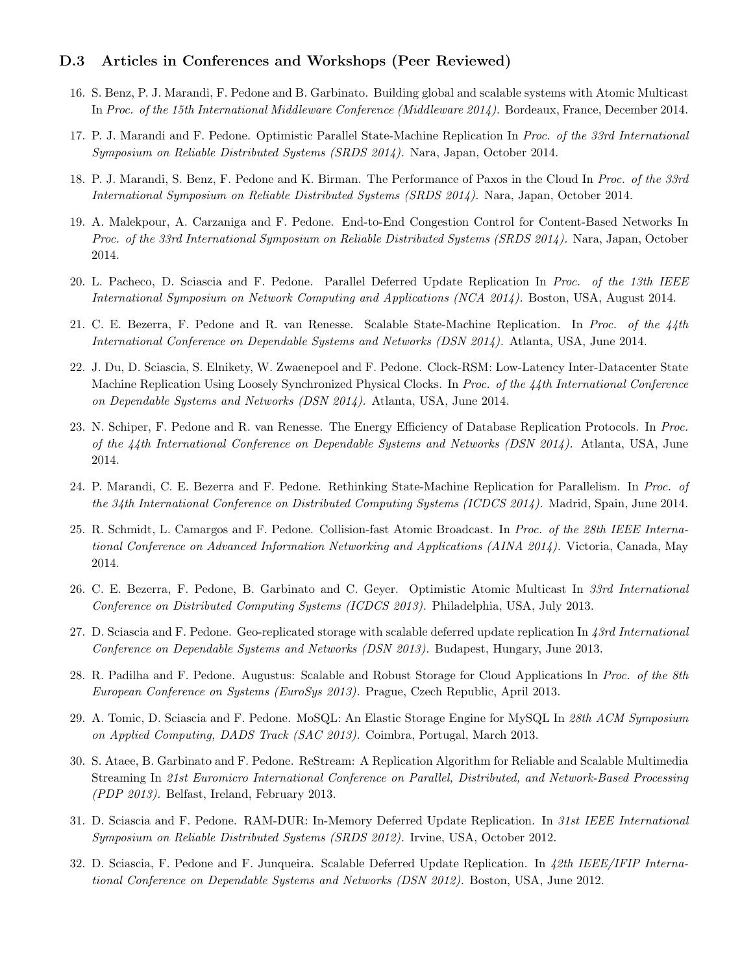#### D.3 Articles in Conferences and Workshops (Peer Reviewed)

- 16. S. Benz, P. J. Marandi, F. Pedone and B. Garbinato. Building global and scalable systems with Atomic Multicast In Proc. of the 15th International Middleware Conference (Middleware 2014). Bordeaux, France, December 2014.
- 17. P. J. Marandi and F. Pedone. Optimistic Parallel State-Machine Replication In Proc. of the 33rd International Symposium on Reliable Distributed Systems (SRDS 2014). Nara, Japan, October 2014.
- 18. P. J. Marandi, S. Benz, F. Pedone and K. Birman. The Performance of Paxos in the Cloud In Proc. of the 33rd International Symposium on Reliable Distributed Systems (SRDS 2014). Nara, Japan, October 2014.
- 19. A. Malekpour, A. Carzaniga and F. Pedone. End-to-End Congestion Control for Content-Based Networks In Proc. of the 33rd International Symposium on Reliable Distributed Systems (SRDS 2014). Nara, Japan, October 2014.
- 20. L. Pacheco, D. Sciascia and F. Pedone. Parallel Deferred Update Replication In Proc. of the 13th IEEE International Symposium on Network Computing and Applications (NCA 2014). Boston, USA, August 2014.
- 21. C. E. Bezerra, F. Pedone and R. van Renesse. Scalable State-Machine Replication. In Proc. of the 44th International Conference on Dependable Systems and Networks (DSN 2014). Atlanta, USA, June 2014.
- 22. J. Du, D. Sciascia, S. Elnikety, W. Zwaenepoel and F. Pedone. Clock-RSM: Low-Latency Inter-Datacenter State Machine Replication Using Loosely Synchronized Physical Clocks. In Proc. of the 44th International Conference on Dependable Systems and Networks (DSN 2014). Atlanta, USA, June 2014.
- 23. N. Schiper, F. Pedone and R. van Renesse. The Energy Efficiency of Database Replication Protocols. In Proc. of the 44th International Conference on Dependable Systems and Networks (DSN 2014). Atlanta, USA, June 2014.
- 24. P. Marandi, C. E. Bezerra and F. Pedone. Rethinking State-Machine Replication for Parallelism. In Proc. of the 34th International Conference on Distributed Computing Systems (ICDCS 2014). Madrid, Spain, June 2014.
- 25. R. Schmidt, L. Camargos and F. Pedone. Collision-fast Atomic Broadcast. In Proc. of the 28th IEEE International Conference on Advanced Information Networking and Applications (AINA 2014). Victoria, Canada, May 2014.
- 26. C. E. Bezerra, F. Pedone, B. Garbinato and C. Geyer. Optimistic Atomic Multicast In 33rd International Conference on Distributed Computing Systems (ICDCS 2013). Philadelphia, USA, July 2013.
- 27. D. Sciascia and F. Pedone. Geo-replicated storage with scalable deferred update replication In 43rd International Conference on Dependable Systems and Networks (DSN 2013). Budapest, Hungary, June 2013.
- 28. R. Padilha and F. Pedone. Augustus: Scalable and Robust Storage for Cloud Applications In Proc. of the 8th European Conference on Systems (EuroSys 2013). Prague, Czech Republic, April 2013.
- 29. A. Tomic, D. Sciascia and F. Pedone. MoSQL: An Elastic Storage Engine for MySQL In 28th ACM Symposium on Applied Computing, DADS Track (SAC 2013). Coimbra, Portugal, March 2013.
- 30. S. Ataee, B. Garbinato and F. Pedone. ReStream: A Replication Algorithm for Reliable and Scalable Multimedia Streaming In 21st Euromicro International Conference on Parallel, Distributed, and Network-Based Processing (PDP 2013). Belfast, Ireland, February 2013.
- 31. D. Sciascia and F. Pedone. RAM-DUR: In-Memory Deferred Update Replication. In 31st IEEE International Symposium on Reliable Distributed Systems (SRDS 2012). Irvine, USA, October 2012.
- 32. D. Sciascia, F. Pedone and F. Junqueira. Scalable Deferred Update Replication. In 42th IEEE/IFIP International Conference on Dependable Systems and Networks (DSN 2012). Boston, USA, June 2012.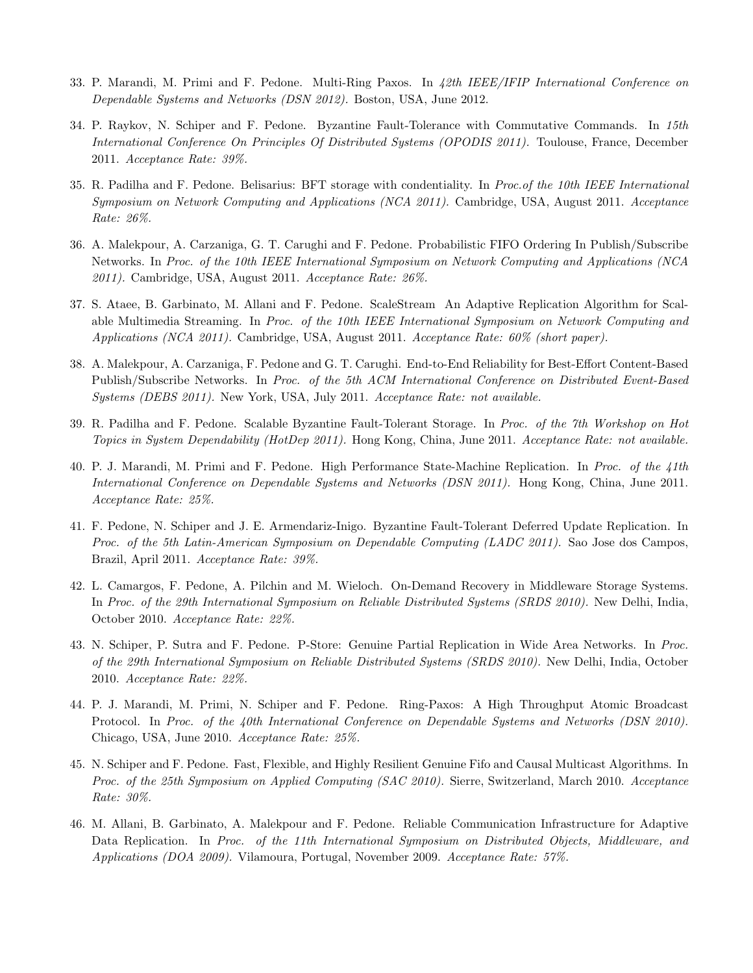- 33. P. Marandi, M. Primi and F. Pedone. Multi-Ring Paxos. In 42th IEEE/IFIP International Conference on Dependable Systems and Networks (DSN 2012). Boston, USA, June 2012.
- 34. P. Raykov, N. Schiper and F. Pedone. Byzantine Fault-Tolerance with Commutative Commands. In 15th International Conference On Principles Of Distributed Systems (OPODIS 2011). Toulouse, France, December 2011. Acceptance Rate: 39%.
- 35. R. Padilha and F. Pedone. Belisarius: BFT storage with condentiality. In Proc.of the 10th IEEE International Symposium on Network Computing and Applications (NCA 2011). Cambridge, USA, August 2011. Acceptance Rate: 26%.
- 36. A. Malekpour, A. Carzaniga, G. T. Carughi and F. Pedone. Probabilistic FIFO Ordering In Publish/Subscribe Networks. In Proc. of the 10th IEEE International Symposium on Network Computing and Applications (NCA 2011). Cambridge, USA, August 2011. Acceptance Rate: 26%.
- 37. S. Ataee, B. Garbinato, M. Allani and F. Pedone. ScaleStream An Adaptive Replication Algorithm for Scalable Multimedia Streaming. In Proc. of the 10th IEEE International Symposium on Network Computing and Applications (NCA 2011). Cambridge, USA, August 2011. Acceptance Rate: 60% (short paper).
- 38. A. Malekpour, A. Carzaniga, F. Pedone and G. T. Carughi. End-to-End Reliability for Best-Effort Content-Based Publish/Subscribe Networks. In Proc. of the 5th ACM International Conference on Distributed Event-Based Systems (DEBS 2011). New York, USA, July 2011. Acceptance Rate: not available.
- 39. R. Padilha and F. Pedone. Scalable Byzantine Fault-Tolerant Storage. In Proc. of the 7th Workshop on Hot Topics in System Dependability (HotDep 2011). Hong Kong, China, June 2011. Acceptance Rate: not available.
- 40. P. J. Marandi, M. Primi and F. Pedone. High Performance State-Machine Replication. In Proc. of the 41th International Conference on Dependable Systems and Networks (DSN 2011). Hong Kong, China, June 2011. Acceptance Rate: 25%.
- 41. F. Pedone, N. Schiper and J. E. Armendariz-Inigo. Byzantine Fault-Tolerant Deferred Update Replication. In Proc. of the 5th Latin-American Symposium on Dependable Computing (LADC 2011). Sao Jose dos Campos, Brazil, April 2011. Acceptance Rate: 39%.
- 42. L. Camargos, F. Pedone, A. Pilchin and M. Wieloch. On-Demand Recovery in Middleware Storage Systems. In Proc. of the 29th International Symposium on Reliable Distributed Systems (SRDS 2010). New Delhi, India, October 2010. Acceptance Rate: 22%.
- 43. N. Schiper, P. Sutra and F. Pedone. P-Store: Genuine Partial Replication in Wide Area Networks. In Proc. of the 29th International Symposium on Reliable Distributed Systems (SRDS 2010). New Delhi, India, October 2010. Acceptance Rate: 22%.
- 44. P. J. Marandi, M. Primi, N. Schiper and F. Pedone. Ring-Paxos: A High Throughput Atomic Broadcast Protocol. In Proc. of the 40th International Conference on Dependable Systems and Networks (DSN 2010). Chicago, USA, June 2010. Acceptance Rate: 25%.
- 45. N. Schiper and F. Pedone. Fast, Flexible, and Highly Resilient Genuine Fifo and Causal Multicast Algorithms. In Proc. of the 25th Symposium on Applied Computing (SAC 2010). Sierre, Switzerland, March 2010. Acceptance Rate: 30%.
- 46. M. Allani, B. Garbinato, A. Malekpour and F. Pedone. Reliable Communication Infrastructure for Adaptive Data Replication. In Proc. of the 11th International Symposium on Distributed Objects, Middleware, and Applications (DOA 2009). Vilamoura, Portugal, November 2009. Acceptance Rate: 57%.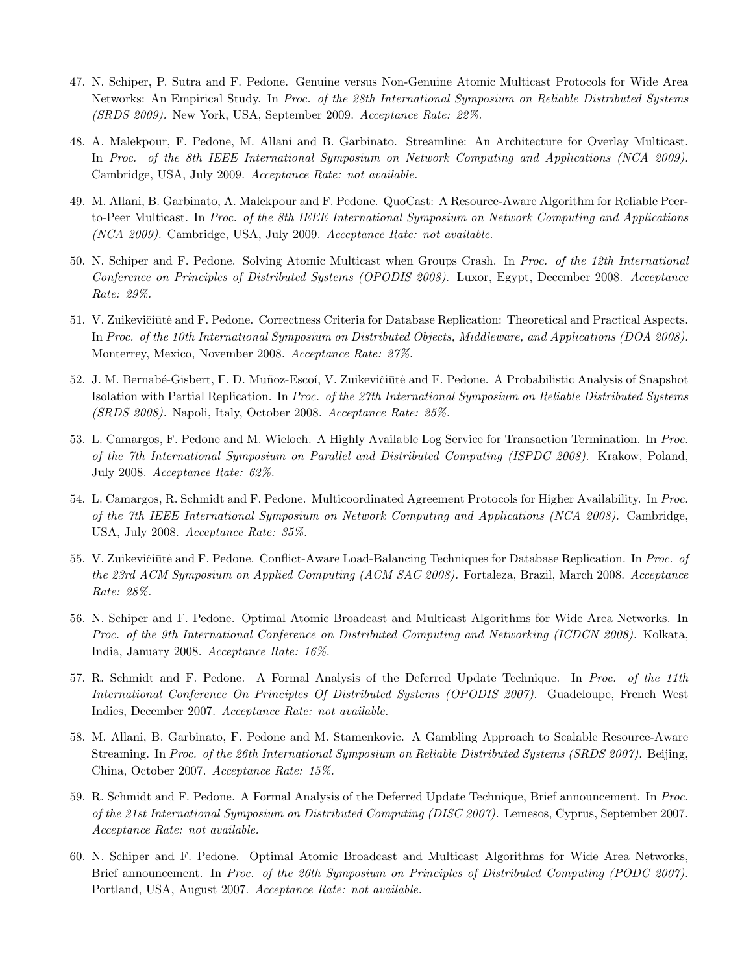- 47. N. Schiper, P. Sutra and F. Pedone. Genuine versus Non-Genuine Atomic Multicast Protocols for Wide Area Networks: An Empirical Study. In Proc. of the 28th International Symposium on Reliable Distributed Systems (SRDS 2009). New York, USA, September 2009. Acceptance Rate: 22%.
- 48. A. Malekpour, F. Pedone, M. Allani and B. Garbinato. Streamline: An Architecture for Overlay Multicast. In Proc. of the 8th IEEE International Symposium on Network Computing and Applications (NCA 2009). Cambridge, USA, July 2009. Acceptance Rate: not available.
- 49. M. Allani, B. Garbinato, A. Malekpour and F. Pedone. QuoCast: A Resource-Aware Algorithm for Reliable Peerto-Peer Multicast. In Proc. of the 8th IEEE International Symposium on Network Computing and Applications (NCA 2009). Cambridge, USA, July 2009. Acceptance Rate: not available.
- 50. N. Schiper and F. Pedone. Solving Atomic Multicast when Groups Crash. In Proc. of the 12th International Conference on Principles of Distributed Systems (OPODIS 2008). Luxor, Egypt, December 2008. Acceptance Rate: 29%.
- 51. V. Zuikevičiūtė and F. Pedone. Correctness Criteria for Database Replication: Theoretical and Practical Aspects. In Proc. of the 10th International Symposium on Distributed Objects, Middleware, and Applications (DOA 2008). Monterrey, Mexico, November 2008. Acceptance Rate: 27%.
- 52. J. M. Bernabé-Gisbert, F. D. Muñoz-Escoí, V. Zuikevičiūtė and F. Pedone. A Probabilistic Analysis of Snapshot Isolation with Partial Replication. In Proc. of the 27th International Symposium on Reliable Distributed Systems (SRDS 2008). Napoli, Italy, October 2008. Acceptance Rate: 25%.
- 53. L. Camargos, F. Pedone and M. Wieloch. A Highly Available Log Service for Transaction Termination. In Proc. of the 7th International Symposium on Parallel and Distributed Computing (ISPDC 2008). Krakow, Poland, July 2008. Acceptance Rate: 62%.
- 54. L. Camargos, R. Schmidt and F. Pedone. Multicoordinated Agreement Protocols for Higher Availability. In Proc. of the 7th IEEE International Symposium on Network Computing and Applications (NCA 2008). Cambridge, USA, July 2008. Acceptance Rate: 35%.
- 55. V. Zuikevičiūtė and F. Pedone. Conflict-Aware Load-Balancing Techniques for Database Replication. In Proc. of the 23rd ACM Symposium on Applied Computing (ACM SAC 2008). Fortaleza, Brazil, March 2008. Acceptance Rate: 28%.
- 56. N. Schiper and F. Pedone. Optimal Atomic Broadcast and Multicast Algorithms for Wide Area Networks. In Proc. of the 9th International Conference on Distributed Computing and Networking (ICDCN 2008). Kolkata, India, January 2008. Acceptance Rate: 16%.
- 57. R. Schmidt and F. Pedone. A Formal Analysis of the Deferred Update Technique. In Proc. of the 11th International Conference On Principles Of Distributed Systems (OPODIS 2007). Guadeloupe, French West Indies, December 2007. Acceptance Rate: not available.
- 58. M. Allani, B. Garbinato, F. Pedone and M. Stamenkovic. A Gambling Approach to Scalable Resource-Aware Streaming. In Proc. of the 26th International Symposium on Reliable Distributed Systems (SRDS 2007). Beijing, China, October 2007. Acceptance Rate: 15%.
- 59. R. Schmidt and F. Pedone. A Formal Analysis of the Deferred Update Technique, Brief announcement. In Proc. of the 21st International Symposium on Distributed Computing (DISC 2007). Lemesos, Cyprus, September 2007. Acceptance Rate: not available.
- 60. N. Schiper and F. Pedone. Optimal Atomic Broadcast and Multicast Algorithms for Wide Area Networks, Brief announcement. In Proc. of the 26th Symposium on Principles of Distributed Computing (PODC 2007). Portland, USA, August 2007. Acceptance Rate: not available.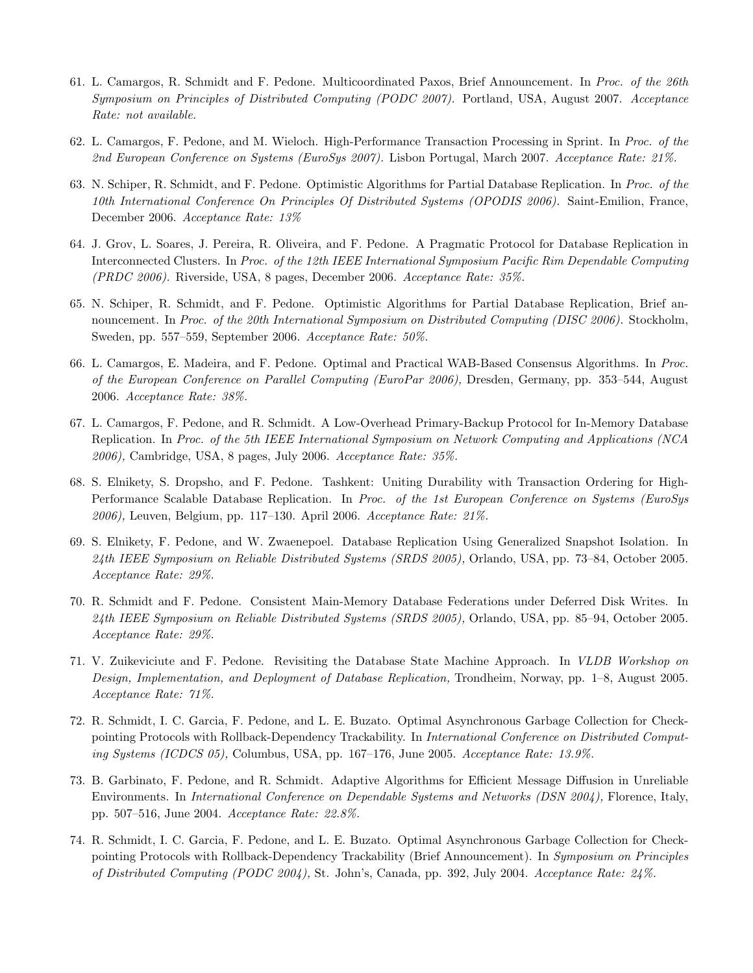- 61. L. Camargos, R. Schmidt and F. Pedone. Multicoordinated Paxos, Brief Announcement. In Proc. of the 26th Symposium on Principles of Distributed Computing (PODC 2007). Portland, USA, August 2007. Acceptance Rate: not available.
- 62. L. Camargos, F. Pedone, and M. Wieloch. High-Performance Transaction Processing in Sprint. In Proc. of the 2nd European Conference on Systems (EuroSys 2007). Lisbon Portugal, March 2007. Acceptance Rate: 21%.
- 63. N. Schiper, R. Schmidt, and F. Pedone. Optimistic Algorithms for Partial Database Replication. In Proc. of the 10th International Conference On Principles Of Distributed Systems (OPODIS 2006). Saint-Emilion, France, December 2006. Acceptance Rate: 13%
- 64. J. Grov, L. Soares, J. Pereira, R. Oliveira, and F. Pedone. A Pragmatic Protocol for Database Replication in Interconnected Clusters. In Proc. of the 12th IEEE International Symposium Pacific Rim Dependable Computing (PRDC 2006). Riverside, USA, 8 pages, December 2006. Acceptance Rate: 35%.
- 65. N. Schiper, R. Schmidt, and F. Pedone. Optimistic Algorithms for Partial Database Replication, Brief announcement. In Proc. of the 20th International Symposium on Distributed Computing (DISC 2006). Stockholm, Sweden, pp. 557–559, September 2006. Acceptance Rate: 50%.
- 66. L. Camargos, E. Madeira, and F. Pedone. Optimal and Practical WAB-Based Consensus Algorithms. In Proc. of the European Conference on Parallel Computing (EuroPar 2006), Dresden, Germany, pp. 353–544, August 2006. Acceptance Rate: 38%.
- 67. L. Camargos, F. Pedone, and R. Schmidt. A Low-Overhead Primary-Backup Protocol for In-Memory Database Replication. In Proc. of the 5th IEEE International Symposium on Network Computing and Applications (NCA 2006), Cambridge, USA, 8 pages, July 2006. Acceptance Rate: 35%.
- 68. S. Elnikety, S. Dropsho, and F. Pedone. Tashkent: Uniting Durability with Transaction Ordering for High-Performance Scalable Database Replication. In Proc. of the 1st European Conference on Systems (EuroSys 2006), Leuven, Belgium, pp. 117–130. April 2006. Acceptance Rate: 21%.
- 69. S. Elnikety, F. Pedone, and W. Zwaenepoel. Database Replication Using Generalized Snapshot Isolation. In 24th IEEE Symposium on Reliable Distributed Systems (SRDS 2005), Orlando, USA, pp. 73–84, October 2005. Acceptance Rate: 29%.
- 70. R. Schmidt and F. Pedone. Consistent Main-Memory Database Federations under Deferred Disk Writes. In 24th IEEE Symposium on Reliable Distributed Systems (SRDS 2005), Orlando, USA, pp. 85–94, October 2005. Acceptance Rate: 29%.
- 71. V. Zuikeviciute and F. Pedone. Revisiting the Database State Machine Approach. In VLDB Workshop on Design, Implementation, and Deployment of Database Replication, Trondheim, Norway, pp. 1–8, August 2005. Acceptance Rate: 71%.
- 72. R. Schmidt, I. C. Garcia, F. Pedone, and L. E. Buzato. Optimal Asynchronous Garbage Collection for Checkpointing Protocols with Rollback-Dependency Trackability. In International Conference on Distributed Computing Systems (ICDCS 05), Columbus, USA, pp. 167–176, June 2005. Acceptance Rate: 13.9%.
- 73. B. Garbinato, F. Pedone, and R. Schmidt. Adaptive Algorithms for Efficient Message Diffusion in Unreliable Environments. In International Conference on Dependable Systems and Networks (DSN 2004), Florence, Italy, pp. 507–516, June 2004. Acceptance Rate: 22.8%.
- 74. R. Schmidt, I. C. Garcia, F. Pedone, and L. E. Buzato. Optimal Asynchronous Garbage Collection for Checkpointing Protocols with Rollback-Dependency Trackability (Brief Announcement). In Symposium on Principles of Distributed Computing (PODC 2004), St. John's, Canada, pp. 392, July 2004. Acceptance Rate: 24%.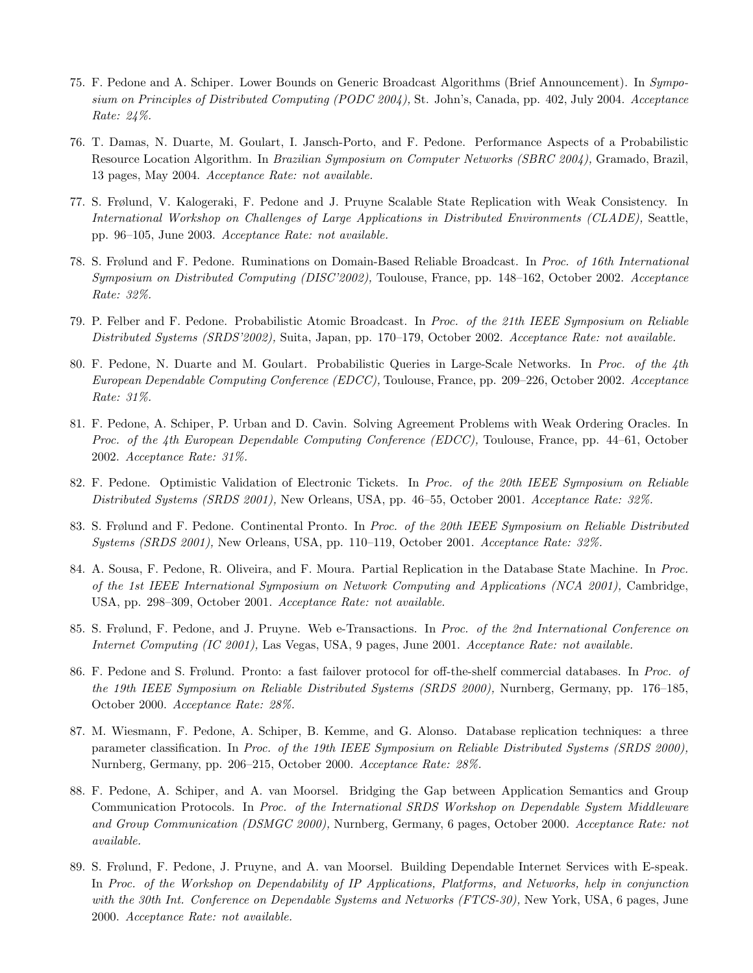- 75. F. Pedone and A. Schiper. Lower Bounds on Generic Broadcast Algorithms (Brief Announcement). In Symposium on Principles of Distributed Computing (PODC 2004), St. John's, Canada, pp. 402, July 2004. Acceptance Rate: 24%.
- 76. T. Damas, N. Duarte, M. Goulart, I. Jansch-Porto, and F. Pedone. Performance Aspects of a Probabilistic Resource Location Algorithm. In Brazilian Symposium on Computer Networks (SBRC 2004), Gramado, Brazil, 13 pages, May 2004. Acceptance Rate: not available.
- 77. S. Frølund, V. Kalogeraki, F. Pedone and J. Pruyne Scalable State Replication with Weak Consistency. In International Workshop on Challenges of Large Applications in Distributed Environments (CLADE), Seattle, pp. 96–105, June 2003. Acceptance Rate: not available.
- 78. S. Frølund and F. Pedone. Ruminations on Domain-Based Reliable Broadcast. In Proc. of 16th International Symposium on Distributed Computing (DISC'2002), Toulouse, France, pp. 148–162, October 2002. Acceptance Rate: 32%.
- 79. P. Felber and F. Pedone. Probabilistic Atomic Broadcast. In Proc. of the 21th IEEE Symposium on Reliable Distributed Systems (SRDS'2002), Suita, Japan, pp. 170–179, October 2002. Acceptance Rate: not available.
- 80. F. Pedone, N. Duarte and M. Goulart. Probabilistic Queries in Large-Scale Networks. In Proc. of the 4th European Dependable Computing Conference (EDCC), Toulouse, France, pp. 209–226, October 2002. Acceptance Rate: 31%.
- 81. F. Pedone, A. Schiper, P. Urban and D. Cavin. Solving Agreement Problems with Weak Ordering Oracles. In Proc. of the 4th European Dependable Computing Conference (EDCC), Toulouse, France, pp. 44–61, October 2002. Acceptance Rate: 31%.
- 82. F. Pedone. Optimistic Validation of Electronic Tickets. In Proc. of the 20th IEEE Symposium on Reliable Distributed Systems (SRDS 2001), New Orleans, USA, pp. 46–55, October 2001. Acceptance Rate: 32%.
- 83. S. Frølund and F. Pedone. Continental Pronto. In Proc. of the 20th IEEE Symposium on Reliable Distributed Systems (SRDS 2001), New Orleans, USA, pp. 110–119, October 2001. Acceptance Rate: 32%.
- 84. A. Sousa, F. Pedone, R. Oliveira, and F. Moura. Partial Replication in the Database State Machine. In Proc. of the 1st IEEE International Symposium on Network Computing and Applications (NCA 2001), Cambridge, USA, pp. 298–309, October 2001. Acceptance Rate: not available.
- 85. S. Frølund, F. Pedone, and J. Pruyne. Web e-Transactions. In Proc. of the 2nd International Conference on Internet Computing (IC 2001), Las Vegas, USA, 9 pages, June 2001. Acceptance Rate: not available.
- 86. F. Pedone and S. Frølund. Pronto: a fast failover protocol for off-the-shelf commercial databases. In Proc. of the 19th IEEE Symposium on Reliable Distributed Systems (SRDS 2000), Nurnberg, Germany, pp. 176–185, October 2000. Acceptance Rate: 28%.
- 87. M. Wiesmann, F. Pedone, A. Schiper, B. Kemme, and G. Alonso. Database replication techniques: a three parameter classification. In Proc. of the 19th IEEE Symposium on Reliable Distributed Systems (SRDS 2000), Nurnberg, Germany, pp. 206–215, October 2000. Acceptance Rate: 28%.
- 88. F. Pedone, A. Schiper, and A. van Moorsel. Bridging the Gap between Application Semantics and Group Communication Protocols. In Proc. of the International SRDS Workshop on Dependable System Middleware and Group Communication (DSMGC 2000), Nurnberg, Germany, 6 pages, October 2000. Acceptance Rate: not available.
- 89. S. Frølund, F. Pedone, J. Pruyne, and A. van Moorsel. Building Dependable Internet Services with E-speak. In Proc. of the Workshop on Dependability of IP Applications, Platforms, and Networks, help in conjunction with the 30th Int. Conference on Dependable Systems and Networks (FTCS-30), New York, USA, 6 pages, June 2000. Acceptance Rate: not available.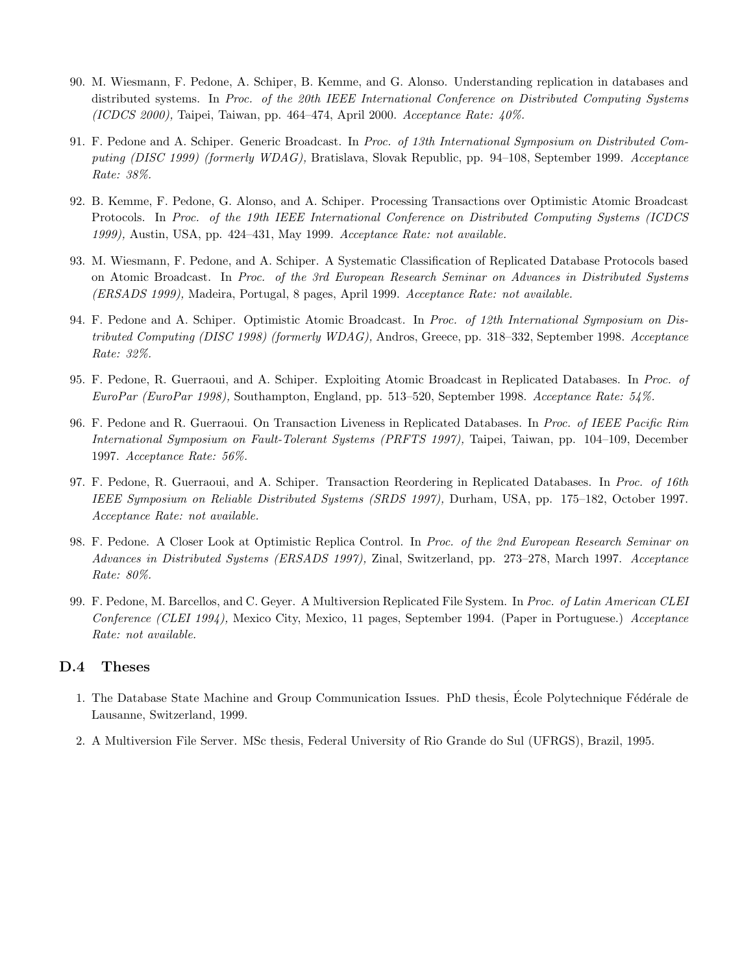- 90. M. Wiesmann, F. Pedone, A. Schiper, B. Kemme, and G. Alonso. Understanding replication in databases and distributed systems. In Proc. of the 20th IEEE International Conference on Distributed Computing Systems (ICDCS 2000), Taipei, Taiwan, pp. 464–474, April 2000. Acceptance Rate:  $40\%$ .
- 91. F. Pedone and A. Schiper. Generic Broadcast. In Proc. of 13th International Symposium on Distributed Computing (DISC 1999) (formerly WDAG), Bratislava, Slovak Republic, pp. 94–108, September 1999. Acceptance Rate: 38%.
- 92. B. Kemme, F. Pedone, G. Alonso, and A. Schiper. Processing Transactions over Optimistic Atomic Broadcast Protocols. In Proc. of the 19th IEEE International Conference on Distributed Computing Systems (ICDCS 1999), Austin, USA, pp. 424–431, May 1999. Acceptance Rate: not available.
- 93. M. Wiesmann, F. Pedone, and A. Schiper. A Systematic Classification of Replicated Database Protocols based on Atomic Broadcast. In Proc. of the 3rd European Research Seminar on Advances in Distributed Systems (ERSADS 1999), Madeira, Portugal, 8 pages, April 1999. Acceptance Rate: not available.
- 94. F. Pedone and A. Schiper. Optimistic Atomic Broadcast. In Proc. of 12th International Symposium on Distributed Computing (DISC 1998) (formerly WDAG), Andros, Greece, pp. 318–332, September 1998. Acceptance Rate: 32%.
- 95. F. Pedone, R. Guerraoui, and A. Schiper. Exploiting Atomic Broadcast in Replicated Databases. In Proc. of EuroPar (EuroPar 1998), Southampton, England, pp. 513–520, September 1998. Acceptance Rate: 54%.
- 96. F. Pedone and R. Guerraoui. On Transaction Liveness in Replicated Databases. In Proc. of IEEE Pacific Rim International Symposium on Fault-Tolerant Systems (PRFTS 1997), Taipei, Taiwan, pp. 104–109, December 1997. Acceptance Rate: 56%.
- 97. F. Pedone, R. Guerraoui, and A. Schiper. Transaction Reordering in Replicated Databases. In Proc. of 16th IEEE Symposium on Reliable Distributed Systems (SRDS 1997), Durham, USA, pp. 175–182, October 1997. Acceptance Rate: not available.
- 98. F. Pedone. A Closer Look at Optimistic Replica Control. In Proc. of the 2nd European Research Seminar on Advances in Distributed Systems (ERSADS 1997), Zinal, Switzerland, pp. 273–278, March 1997. Acceptance Rate: 80%.
- 99. F. Pedone, M. Barcellos, and C. Geyer. A Multiversion Replicated File System. In Proc. of Latin American CLEI Conference (CLEI 1994), Mexico City, Mexico, 11 pages, September 1994. (Paper in Portuguese.) Acceptance Rate: not available.

#### D.4 Theses

- 1. The Database State Machine and Group Communication Issues. PhD thesis, École Polytechnique Fédérale de Lausanne, Switzerland, 1999.
- 2. A Multiversion File Server. MSc thesis, Federal University of Rio Grande do Sul (UFRGS), Brazil, 1995.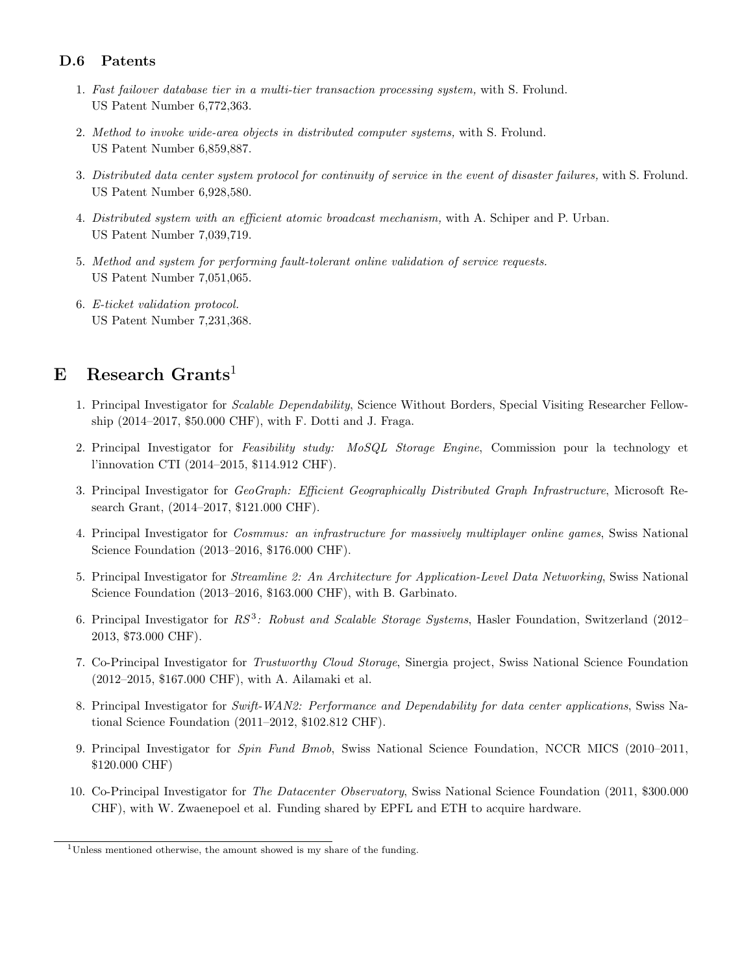### D.6 Patents

- 1. Fast failover database tier in a multi-tier transaction processing system, with S. Frolund. US Patent Number 6,772,363.
- 2. Method to invoke wide-area objects in distributed computer systems, with S. Frolund. US Patent Number 6,859,887.
- 3. Distributed data center system protocol for continuity of service in the event of disaster failures, with S. Frolund. US Patent Number 6,928,580.
- 4. Distributed system with an efficient atomic broadcast mechanism, with A. Schiper and P. Urban. US Patent Number 7,039,719.
- 5. Method and system for performing fault-tolerant online validation of service requests. US Patent Number 7,051,065.
- 6. E-ticket validation protocol. US Patent Number 7,231,368.

## E Research Grants<sup>1</sup>

- 1. Principal Investigator for Scalable Dependability, Science Without Borders, Special Visiting Researcher Fellowship (2014–2017, \$50.000 CHF), with F. Dotti and J. Fraga.
- 2. Principal Investigator for Feasibility study: MoSQL Storage Engine, Commission pour la technology et l'innovation CTI (2014–2015, \$114.912 CHF).
- 3. Principal Investigator for GeoGraph: Efficient Geographically Distributed Graph Infrastructure, Microsoft Research Grant, (2014–2017, \$121.000 CHF).
- 4. Principal Investigator for Cosmmus: an infrastructure for massively multiplayer online games, Swiss National Science Foundation (2013–2016, \$176.000 CHF).
- 5. Principal Investigator for Streamline 2: An Architecture for Application-Level Data Networking, Swiss National Science Foundation (2013–2016, \$163.000 CHF), with B. Garbinato.
- 6. Principal Investigator for RS<sup>3</sup>: Robust and Scalable Storage Systems, Hasler Foundation, Switzerland (2012– 2013, \$73.000 CHF).
- 7. Co-Principal Investigator for Trustworthy Cloud Storage, Sinergia project, Swiss National Science Foundation (2012–2015, \$167.000 CHF), with A. Ailamaki et al.
- 8. Principal Investigator for Swift-WAN2: Performance and Dependability for data center applications, Swiss National Science Foundation (2011–2012, \$102.812 CHF).
- 9. Principal Investigator for Spin Fund Bmob, Swiss National Science Foundation, NCCR MICS (2010–2011, \$120.000 CHF)
- 10. Co-Principal Investigator for The Datacenter Observatory, Swiss National Science Foundation (2011, \$300.000 CHF), with W. Zwaenepoel et al. Funding shared by EPFL and ETH to acquire hardware.

<sup>&</sup>lt;sup>1</sup>Unless mentioned otherwise, the amount showed is my share of the funding.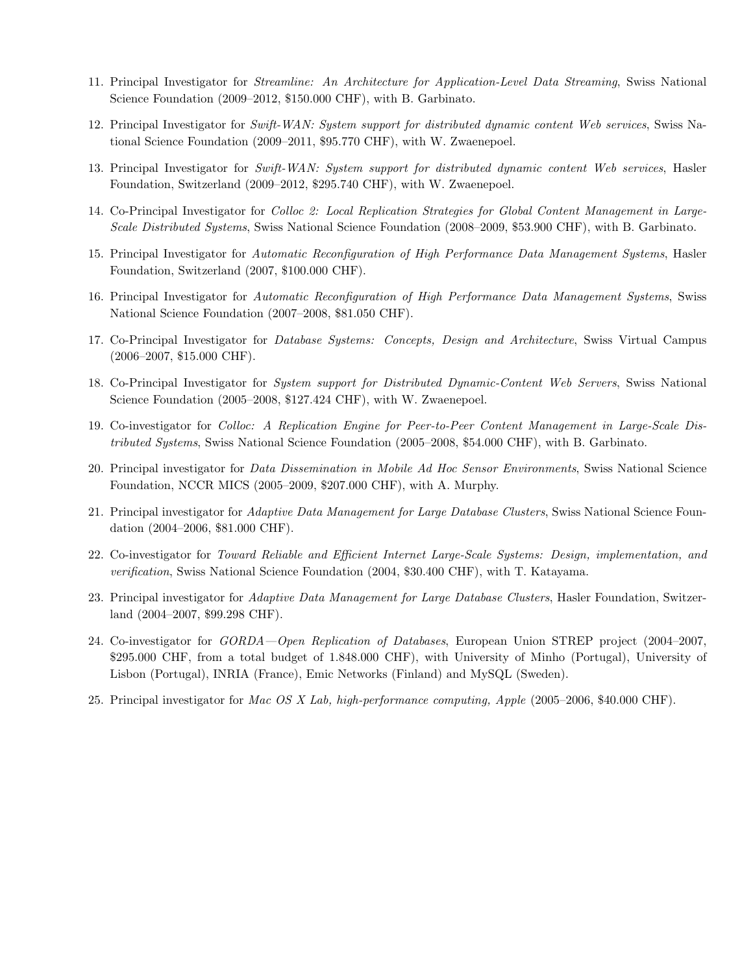- 11. Principal Investigator for Streamline: An Architecture for Application-Level Data Streaming, Swiss National Science Foundation (2009–2012, \$150.000 CHF), with B. Garbinato.
- 12. Principal Investigator for Swift-WAN: System support for distributed dynamic content Web services, Swiss National Science Foundation (2009–2011, \$95.770 CHF), with W. Zwaenepoel.
- 13. Principal Investigator for Swift-WAN: System support for distributed dynamic content Web services, Hasler Foundation, Switzerland (2009–2012, \$295.740 CHF), with W. Zwaenepoel.
- 14. Co-Principal Investigator for Colloc 2: Local Replication Strategies for Global Content Management in Large-Scale Distributed Systems, Swiss National Science Foundation (2008–2009, \$53.900 CHF), with B. Garbinato.
- 15. Principal Investigator for Automatic Reconfiguration of High Performance Data Management Systems, Hasler Foundation, Switzerland (2007, \$100.000 CHF).
- 16. Principal Investigator for Automatic Reconfiguration of High Performance Data Management Systems, Swiss National Science Foundation (2007–2008, \$81.050 CHF).
- 17. Co-Principal Investigator for Database Systems: Concepts, Design and Architecture, Swiss Virtual Campus (2006–2007, \$15.000 CHF).
- 18. Co-Principal Investigator for System support for Distributed Dynamic-Content Web Servers, Swiss National Science Foundation (2005–2008, \$127.424 CHF), with W. Zwaenepoel.
- 19. Co-investigator for Colloc: A Replication Engine for Peer-to-Peer Content Management in Large-Scale Distributed Systems, Swiss National Science Foundation (2005–2008, \$54.000 CHF), with B. Garbinato.
- 20. Principal investigator for Data Dissemination in Mobile Ad Hoc Sensor Environments, Swiss National Science Foundation, NCCR MICS (2005–2009, \$207.000 CHF), with A. Murphy.
- 21. Principal investigator for Adaptive Data Management for Large Database Clusters, Swiss National Science Foundation (2004–2006, \$81.000 CHF).
- 22. Co-investigator for Toward Reliable and Efficient Internet Large-Scale Systems: Design, implementation, and verification, Swiss National Science Foundation (2004, \$30.400 CHF), with T. Katayama.
- 23. Principal investigator for Adaptive Data Management for Large Database Clusters, Hasler Foundation, Switzerland (2004–2007, \$99.298 CHF).
- 24. Co-investigator for GORDA—Open Replication of Databases, European Union STREP project (2004–2007, \$295.000 CHF, from a total budget of 1.848.000 CHF), with University of Minho (Portugal), University of Lisbon (Portugal), INRIA (France), Emic Networks (Finland) and MySQL (Sweden).
- 25. Principal investigator for Mac OS X Lab, high-performance computing, Apple (2005–2006, \$40.000 CHF).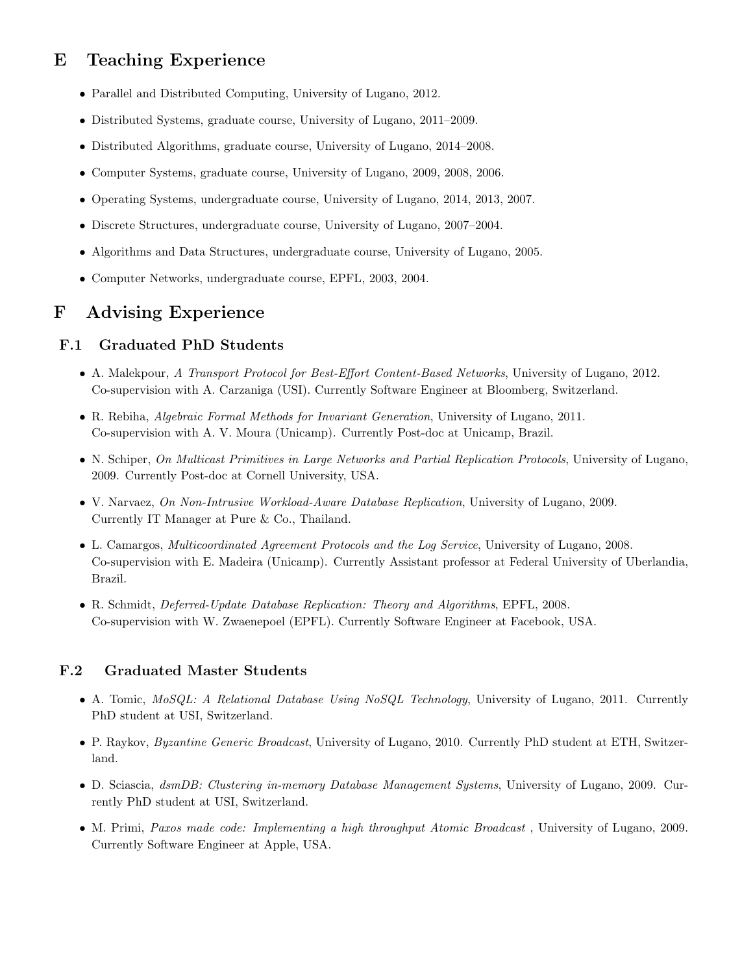# E Teaching Experience

- Parallel and Distributed Computing, University of Lugano, 2012.
- Distributed Systems, graduate course, University of Lugano, 2011–2009.
- Distributed Algorithms, graduate course, University of Lugano, 2014–2008.
- Computer Systems, graduate course, University of Lugano, 2009, 2008, 2006.
- Operating Systems, undergraduate course, University of Lugano, 2014, 2013, 2007.
- Discrete Structures, undergraduate course, University of Lugano, 2007–2004.
- Algorithms and Data Structures, undergraduate course, University of Lugano, 2005.
- Computer Networks, undergraduate course, EPFL, 2003, 2004.

## F Advising Experience

#### F.1 Graduated PhD Students

- A. Malekpour, A Transport Protocol for Best-Effort Content-Based Networks, University of Lugano, 2012. Co-supervision with A. Carzaniga (USI). Currently Software Engineer at Bloomberg, Switzerland.
- R. Rebiha, Algebraic Formal Methods for Invariant Generation, University of Lugano, 2011. Co-supervision with A. V. Moura (Unicamp). Currently Post-doc at Unicamp, Brazil.
- N. Schiper, On Multicast Primitives in Large Networks and Partial Replication Protocols, University of Lugano, 2009. Currently Post-doc at Cornell University, USA.
- V. Narvaez, On Non-Intrusive Workload-Aware Database Replication, University of Lugano, 2009. Currently IT Manager at Pure & Co., Thailand.
- L. Camargos, Multicoordinated Agreement Protocols and the Log Service, University of Lugano, 2008. Co-supervision with E. Madeira (Unicamp). Currently Assistant professor at Federal University of Uberlandia, Brazil.
- R. Schmidt, Deferred-Update Database Replication: Theory and Algorithms, EPFL, 2008. Co-supervision with W. Zwaenepoel (EPFL). Currently Software Engineer at Facebook, USA.

### F.2 Graduated Master Students

- A. Tomic, MoSQL: A Relational Database Using NoSQL Technology, University of Lugano, 2011. Currently PhD student at USI, Switzerland.
- P. Raykov, Byzantine Generic Broadcast, University of Lugano, 2010. Currently PhD student at ETH, Switzerland.
- D. Sciascia, dsmDB: Clustering in-memory Database Management Systems, University of Lugano, 2009. Currently PhD student at USI, Switzerland.
- M. Primi, Paxos made code: Implementing a high throughput Atomic Broadcast, University of Lugano, 2009. Currently Software Engineer at Apple, USA.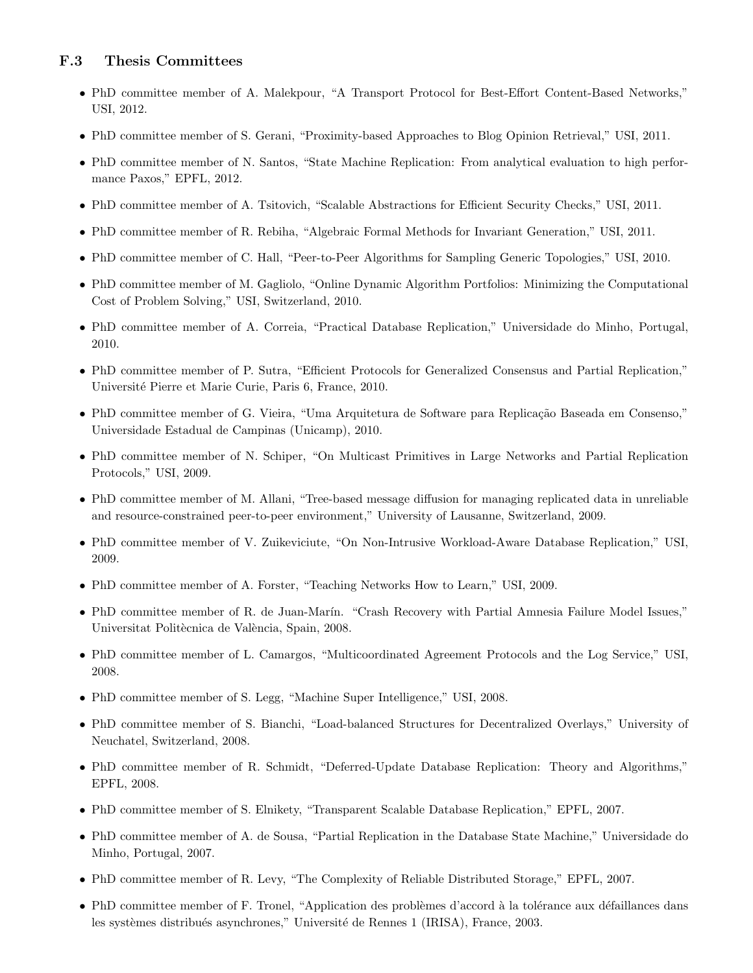#### F.3 Thesis Committees

- PhD committee member of A. Malekpour, "A Transport Protocol for Best-Effort Content-Based Networks," USI, 2012.
- PhD committee member of S. Gerani, "Proximity-based Approaches to Blog Opinion Retrieval," USI, 2011.
- PhD committee member of N. Santos, "State Machine Replication: From analytical evaluation to high performance Paxos," EPFL, 2012.
- PhD committee member of A. Tsitovich, "Scalable Abstractions for Efficient Security Checks," USI, 2011.
- PhD committee member of R. Rebiha, "Algebraic Formal Methods for Invariant Generation," USI, 2011.
- PhD committee member of C. Hall, "Peer-to-Peer Algorithms for Sampling Generic Topologies," USI, 2010.
- PhD committee member of M. Gagliolo, "Online Dynamic Algorithm Portfolios: Minimizing the Computational Cost of Problem Solving," USI, Switzerland, 2010.
- PhD committee member of A. Correia, "Practical Database Replication," Universidade do Minho, Portugal, 2010.
- PhD committee member of P. Sutra, "Efficient Protocols for Generalized Consensus and Partial Replication," Universit´e Pierre et Marie Curie, Paris 6, France, 2010.
- PhD committee member of G. Vieira, "Uma Arquitetura de Software para Replicação Baseada em Consenso," Universidade Estadual de Campinas (Unicamp), 2010.
- PhD committee member of N. Schiper, "On Multicast Primitives in Large Networks and Partial Replication Protocols," USI, 2009.
- PhD committee member of M. Allani, "Tree-based message diffusion for managing replicated data in unreliable and resource-constrained peer-to-peer environment," University of Lausanne, Switzerland, 2009.
- PhD committee member of V. Zuikeviciute, "On Non-Intrusive Workload-Aware Database Replication," USI, 2009.
- PhD committee member of A. Forster, "Teaching Networks How to Learn," USI, 2009.
- PhD committee member of R. de Juan-Marín. "Crash Recovery with Partial Amnesia Failure Model Issues," Universitat Politècnica de València, Spain, 2008.
- PhD committee member of L. Camargos, "Multicoordinated Agreement Protocols and the Log Service," USI, 2008.
- PhD committee member of S. Legg, "Machine Super Intelligence," USI, 2008.
- PhD committee member of S. Bianchi, "Load-balanced Structures for Decentralized Overlays," University of Neuchatel, Switzerland, 2008.
- PhD committee member of R. Schmidt, "Deferred-Update Database Replication: Theory and Algorithms," EPFL, 2008.
- PhD committee member of S. Elnikety, "Transparent Scalable Database Replication," EPFL, 2007.
- PhD committee member of A. de Sousa, "Partial Replication in the Database State Machine," Universidade do Minho, Portugal, 2007.
- PhD committee member of R. Levy, "The Complexity of Reliable Distributed Storage," EPFL, 2007.
- PhD committee member of F. Tronel, "Application des problèmes d'accord à la tolérance aux défaillances dans les systèmes distribués asynchrones," Université de Rennes 1 (IRISA), France, 2003.